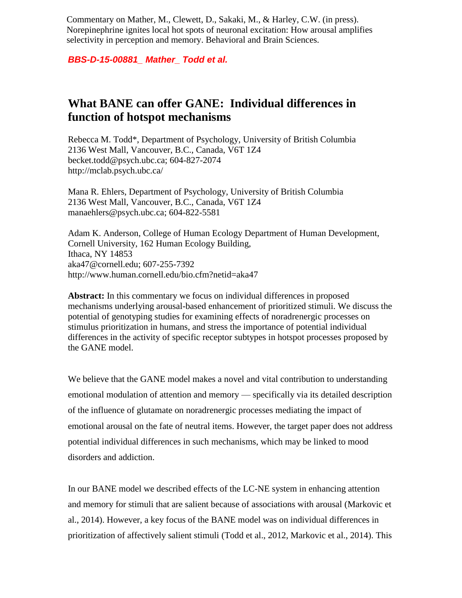Commentary on Mather, M., Clewett, D., Sakaki, M., & Harley, C.W. (in press). Norepinephrine ignites local hot spots of neuronal excitation: How arousal amplifies selectivity in perception and memory. Behavioral and Brain Sciences.

*BBS-D-15-00881\_ Mather\_ Todd et al.*

## **What BANE can offer GANE: Individual differences in function of hotspot mechanisms**

Rebecca M. Todd\*, Department of Psychology, University of British Columbia 2136 West Mall, Vancouver, B.C., Canada, V6T 1Z4 [becket.todd@psych.ubc.ca;](mailto:becket.todd@psych.ubc.ca) [604-827-2074](tel:604-827-2074) http://mclab.psych.ubc.ca/

Mana R. Ehlers, Department of Psychology, University of British Columbia 2136 West Mall, Vancouver, B.C., Canada, V6T 1Z4 [manaehlers@psych.ubc.ca;](mailto:manaehlers@psych.ubc.ca) [604-822-5581](tel:604-822-5581)

Adam K. Anderson, College of Human Ecology Department of Human Development, Cornell University, 162 Human Ecology Building, Ithaca, NY 14853 [aka47@cornell.edu;](mailto:aka47@cornell.edu) 607-255-7392 <http://www.human.cornell.edu/bio.cfm?netid=aka47>

**Abstract:** In this commentary we focus on individual differences in proposed mechanisms underlying arousal-based enhancement of prioritized stimuli. We discuss the potential of genotyping studies for examining effects of noradrenergic processes on stimulus prioritization in humans, and stress the importance of potential individual differences in the activity of specific receptor subtypes in hotspot processes proposed by the GANE model.

We believe that the GANE model makes a novel and vital contribution to understanding emotional modulation of attention and memory — specifically via its detailed description of the influence of glutamate on noradrenergic processes mediating the impact of emotional arousal on the fate of neutral items. However, the target paper does not address potential individual differences in such mechanisms, which may be linked to mood disorders and addiction.

In our BANE model we described effects of the LC-NE system in enhancing attention and memory for stimuli that are salient because of associations with arousal (Markovic et al., 2014). However, a key focus of the BANE model was on individual differences in prioritization of affectively salient stimuli (Todd et al., 2012, Markovic et al., 2014). This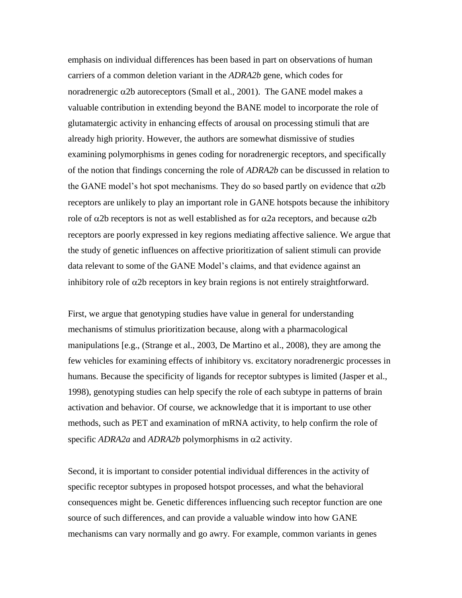emphasis on individual differences has been based in part on observations of human carriers of a common deletion variant in the *ADRA2b* gene, which codes for noradrenergic  $\alpha$ 2b autoreceptors (Small et al., 2001). The GANE model makes a valuable contribution in extending beyond the BANE model to incorporate the role of glutamatergic activity in enhancing effects of arousal on processing stimuli that are already high priority. However, the authors are somewhat dismissive of studies examining polymorphisms in genes coding for noradrenergic receptors, and specifically of the notion that findings concerning the role of *ADRA2b* can be discussed in relation to the GANE model's hot spot mechanisms. They do so based partly on evidence that  $\alpha$ 2b receptors are unlikely to play an important role in GANE hotspots because the inhibitory role of  $\alpha$ 2b receptors is not as well established as for  $\alpha$ 2a receptors, and because  $\alpha$ 2b receptors are poorly expressed in key regions mediating affective salience. We argue that the study of genetic influences on affective prioritization of salient stimuli can provide data relevant to some of the GANE Model's claims, and that evidence against an inhibitory role of  $\alpha$ 2b receptors in key brain regions is not entirely straightforward.

First, we argue that genotyping studies have value in general for understanding mechanisms of stimulus prioritization because, along with a pharmacological manipulations [e.g., (Strange et al., 2003, De Martino et al., 2008), they are among the few vehicles for examining effects of inhibitory vs. excitatory noradrenergic processes in humans. Because the specificity of ligands for receptor subtypes is limited (Jasper et al., 1998), genotyping studies can help specify the role of each subtype in patterns of brain activation and behavior. Of course, we acknowledge that it is important to use other methods, such as PET and examination of mRNA activity, to help confirm the role of specific  $ADRA2a$  and  $ADRA2b$  polymorphisms in  $\alpha$ 2 activity.

Second, it is important to consider potential individual differences in the activity of specific receptor subtypes in proposed hotspot processes, and what the behavioral consequences might be. Genetic differences influencing such receptor function are one source of such differences, and can provide a valuable window into how GANE mechanisms can vary normally and go awry. For example, common variants in genes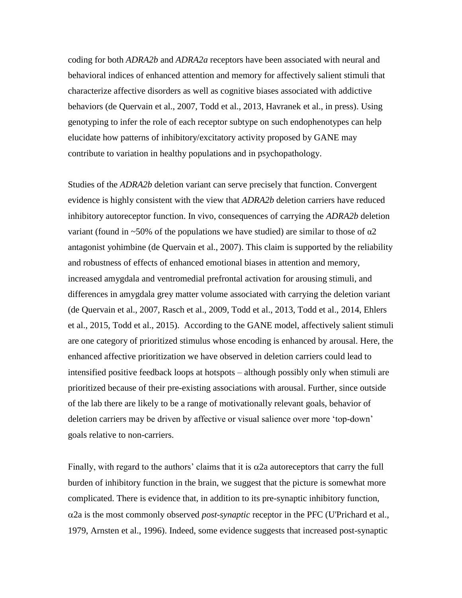coding for both *ADRA2b* and *ADRA2a* receptors have been associated with neural and behavioral indices of enhanced attention and memory for affectively salient stimuli that characterize affective disorders as well as cognitive biases associated with addictive behaviors (de Quervain et al., 2007, Todd et al., 2013, Havranek et al., in press). Using genotyping to infer the role of each receptor subtype on such endophenotypes can help elucidate how patterns of inhibitory/excitatory activity proposed by GANE may contribute to variation in healthy populations and in psychopathology.

Studies of the *ADRA2b* deletion variant can serve precisely that function. Convergent evidence is highly consistent with the view that *ADRA2b* deletion carriers have reduced inhibitory autoreceptor function. In vivo, consequences of carrying the *ADRA2b* deletion variant (found in ~50% of the populations we have studied) are similar to those of  $\alpha$ 2 antagonist yohimbine (de Quervain et al., 2007). This claim is supported by the reliability and robustness of effects of enhanced emotional biases in attention and memory, increased amygdala and ventromedial prefrontal activation for arousing stimuli, and differences in amygdala grey matter volume associated with carrying the deletion variant (de Quervain et al., 2007, Rasch et al., 2009, Todd et al., 2013, Todd et al., 2014, Ehlers et al., 2015, Todd et al., 2015). According to the GANE model, affectively salient stimuli are one category of prioritized stimulus whose encoding is enhanced by arousal. Here, the enhanced affective prioritization we have observed in deletion carriers could lead to intensified positive feedback loops at hotspots – although possibly only when stimuli are prioritized because of their pre-existing associations with arousal. Further, since outside of the lab there are likely to be a range of motivationally relevant goals, behavior of deletion carriers may be driven by affective or visual salience over more 'top-down' goals relative to non-carriers.

Finally, with regard to the authors' claims that it is  $\alpha$ 2a autoreceptors that carry the full burden of inhibitory function in the brain, we suggest that the picture is somewhat more complicated. There is evidence that, in addition to its pre-synaptic inhibitory function,  $\alpha$ 2a is the most commonly observed *post-synaptic* receptor in the PFC (U'Prichard et al., 1979, Arnsten et al., 1996). Indeed, some evidence suggests that increased post-synaptic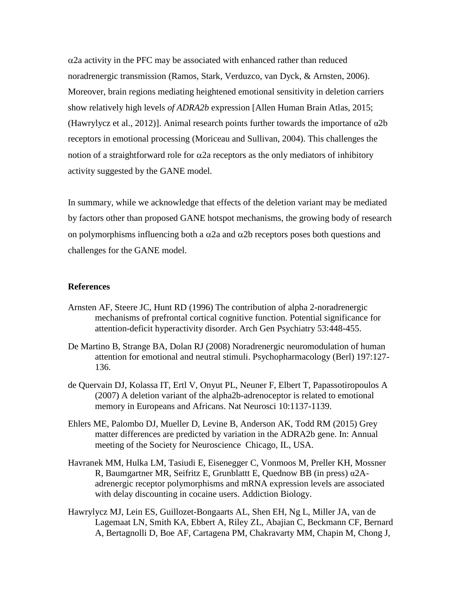$\alpha$ 2a activity in the PFC may be associated with enhanced rather than reduced noradrenergic transmission (Ramos, Stark, Verduzco, van Dyck, & Arnsten, 2006). Moreover, brain regions mediating heightened emotional sensitivity in deletion carriers show relatively high levels *of ADRA2b* expression [Allen Human Brain Atlas, 2015; (Hawrylycz et al., 2012)]. Animal research points further towards the importance of  $\alpha$ 2b receptors in emotional processing (Moriceau and Sullivan, 2004). This challenges the notion of a straightforward role for  $\alpha$ 2a receptors as the only mediators of inhibitory activity suggested by the GANE model.

In summary, while we acknowledge that effects of the deletion variant may be mediated by factors other than proposed GANE hotspot mechanisms, the growing body of research on polymorphisms influencing both a  $\alpha$ 2a and  $\alpha$ 2b receptors poses both questions and challenges for the GANE model.

## **References**

- Arnsten AF, Steere JC, Hunt RD (1996) The contribution of alpha 2-noradrenergic mechanisms of prefrontal cortical cognitive function. Potential significance for attention-deficit hyperactivity disorder. Arch Gen Psychiatry 53:448-455.
- De Martino B, Strange BA, Dolan RJ (2008) Noradrenergic neuromodulation of human attention for emotional and neutral stimuli. Psychopharmacology (Berl) 197:127- 136.
- de Quervain DJ, Kolassa IT, Ertl V, Onyut PL, Neuner F, Elbert T, Papassotiropoulos A (2007) A deletion variant of the alpha2b-adrenoceptor is related to emotional memory in Europeans and Africans. Nat Neurosci 10:1137-1139.
- Ehlers ME, Palombo DJ, Mueller D, Levine B, Anderson AK, Todd RM (2015) Grey matter differences are predicted by variation in the ADRA2b gene. In: Annual meeting of the Society for Neuroscience Chicago, IL, USA.
- Havranek MM, Hulka LM, Tasiudi E, Eisenegger C, Vonmoos M, Preller KH, Mossner R, Baumgartner MR, Seifritz E, Grunblattt E, Quednow BB (in press) α2Aadrenergic receptor polymorphisms and mRNA expression levels are associated with delay discounting in cocaine users. Addiction Biology.
- Hawrylycz MJ, Lein ES, Guillozet-Bongaarts AL, Shen EH, Ng L, Miller JA, van de Lagemaat LN, Smith KA, Ebbert A, Riley ZL, Abajian C, Beckmann CF, Bernard A, Bertagnolli D, Boe AF, Cartagena PM, Chakravarty MM, Chapin M, Chong J,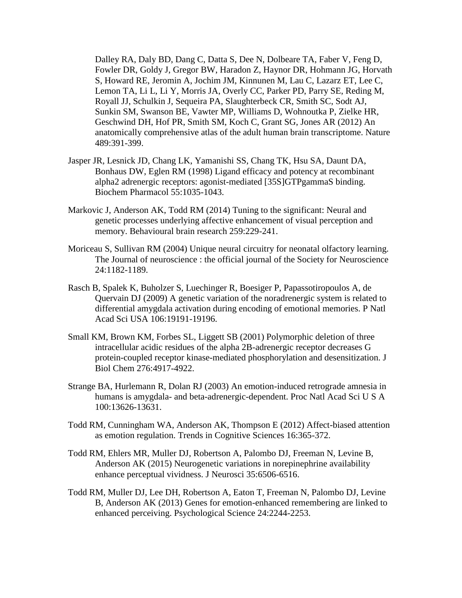Dalley RA, Daly BD, Dang C, Datta S, Dee N, Dolbeare TA, Faber V, Feng D, Fowler DR, Goldy J, Gregor BW, Haradon Z, Haynor DR, Hohmann JG, Horvath S, Howard RE, Jeromin A, Jochim JM, Kinnunen M, Lau C, Lazarz ET, Lee C, Lemon TA, Li L, Li Y, Morris JA, Overly CC, Parker PD, Parry SE, Reding M, Royall JJ, Schulkin J, Sequeira PA, Slaughterbeck CR, Smith SC, Sodt AJ, Sunkin SM, Swanson BE, Vawter MP, Williams D, Wohnoutka P, Zielke HR, Geschwind DH, Hof PR, Smith SM, Koch C, Grant SG, Jones AR (2012) An anatomically comprehensive atlas of the adult human brain transcriptome. Nature 489:391-399.

- Jasper JR, Lesnick JD, Chang LK, Yamanishi SS, Chang TK, Hsu SA, Daunt DA, Bonhaus DW, Eglen RM (1998) Ligand efficacy and potency at recombinant alpha2 adrenergic receptors: agonist-mediated [35S]GTPgammaS binding. Biochem Pharmacol 55:1035-1043.
- Markovic J, Anderson AK, Todd RM (2014) Tuning to the significant: Neural and genetic processes underlying affective enhancement of visual perception and memory. Behavioural brain research 259:229-241.
- Moriceau S, Sullivan RM (2004) Unique neural circuitry for neonatal olfactory learning. The Journal of neuroscience : the official journal of the Society for Neuroscience 24:1182-1189.
- Rasch B, Spalek K, Buholzer S, Luechinger R, Boesiger P, Papassotiropoulos A, de Quervain DJ (2009) A genetic variation of the noradrenergic system is related to differential amygdala activation during encoding of emotional memories. P Natl Acad Sci USA 106:19191-19196.
- Small KM, Brown KM, Forbes SL, Liggett SB (2001) Polymorphic deletion of three intracellular acidic residues of the alpha 2B-adrenergic receptor decreases G protein-coupled receptor kinase-mediated phosphorylation and desensitization. J Biol Chem 276:4917-4922.
- Strange BA, Hurlemann R, Dolan RJ (2003) An emotion-induced retrograde amnesia in humans is amygdala- and beta-adrenergic-dependent. Proc Natl Acad Sci U S A 100:13626-13631.
- Todd RM, Cunningham WA, Anderson AK, Thompson E (2012) Affect-biased attention as emotion regulation. Trends in Cognitive Sciences 16:365-372.
- Todd RM, Ehlers MR, Muller DJ, Robertson A, Palombo DJ, Freeman N, Levine B, Anderson AK (2015) Neurogenetic variations in norepinephrine availability enhance perceptual vividness. J Neurosci 35:6506-6516.
- Todd RM, Muller DJ, Lee DH, Robertson A, Eaton T, Freeman N, Palombo DJ, Levine B, Anderson AK (2013) Genes for emotion-enhanced remembering are linked to enhanced perceiving. Psychological Science 24:2244-2253.